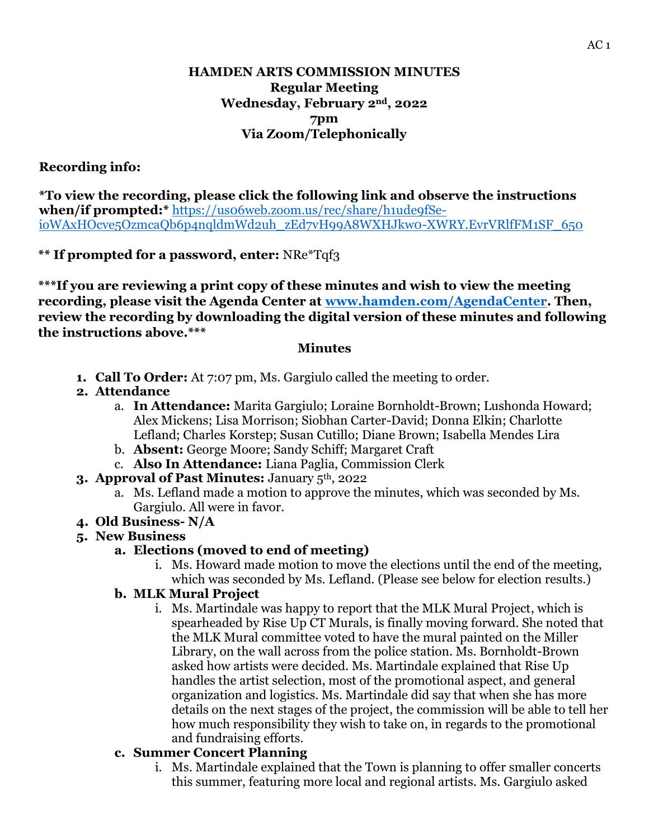# **HAMDEN ARTS COMMISSION MINUTES Regular Meeting Wednesday, February 2nd, 2022 7pm Via Zoom/Telephonically**

# **Recording info:**

**\*To view the recording, please click the following link and observe the instructions when/if prompted:\*** [https://us06web.zoom.us/rec/share/h1ude9fSe](https://us06web.zoom.us/rec/share/h1ude9fSe-ioWAxHOcve5OzmcaQb6p4nqldmWd2uh_zEd7vH99A8WXHJkw0-XWRY.EvrVRlfFM1SF_650)ioWAxHOcve5OzmcaOb6p4nqldmWd2uh\_zEd7vH99A8WXHJkw0-XWRY.EvrVRlfFM1SF\_650

#### **\*\* If prompted for a password, enter:** NRe\*Tqf3

**\*\*\*If you are reviewing a print copy of these minutes and wish to view the meeting recording, please visit the Agenda Center at [www.hamden.com/AgendaCenter.](http://www.hamden.com/AgendaCenter) Then, review the recording by downloading the digital version of these minutes and following the instructions above.\*\*\***

#### **Minutes**

- **1. Call To Order:** At 7:07 pm, Ms. Gargiulo called the meeting to order.
- **2. Attendance**
	- a. **In Attendance:** Marita Gargiulo; Loraine Bornholdt-Brown; Lushonda Howard; Alex Mickens; Lisa Morrison; Siobhan Carter-David; Donna Elkin; Charlotte Lefland; Charles Korstep; Susan Cutillo; Diane Brown; Isabella Mendes Lira
	- b. **Absent:** George Moore; Sandy Schiff; Margaret Craft
	- c. **Also In Attendance:** Liana Paglia, Commission Clerk
- **3. Approval of Past Minutes:** January 5th, 2022
	- a. Ms. Lefland made a motion to approve the minutes, which was seconded by Ms. Gargiulo. All were in favor.
- **4. Old Business- N/A**

# **5. New Business**

# **a. Elections (moved to end of meeting)**

i. Ms. Howard made motion to move the elections until the end of the meeting, which was seconded by Ms. Lefland. (Please see below for election results.)

#### **b. MLK Mural Project**

i. Ms. Martindale was happy to report that the MLK Mural Project, which is spearheaded by Rise Up CT Murals, is finally moving forward. She noted that the MLK Mural committee voted to have the mural painted on the Miller Library, on the wall across from the police station. Ms. Bornholdt-Brown asked how artists were decided. Ms. Martindale explained that Rise Up handles the artist selection, most of the promotional aspect, and general organization and logistics. Ms. Martindale did say that when she has more details on the next stages of the project, the commission will be able to tell her how much responsibility they wish to take on, in regards to the promotional and fundraising efforts.

#### **c. Summer Concert Planning**

i. Ms. Martindale explained that the Town is planning to offer smaller concerts this summer, featuring more local and regional artists. Ms. Gargiulo asked